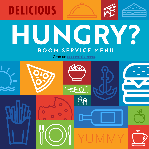

## **HUNGRY? ROOM SERVICE MENU**

Grab an [accessible menu](https://www.carnival.com/~/media/Images/explore/dining/menus/room-service-all-day-accessible-menu.pdf).

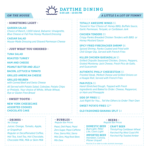

## *ON THE HOUSE A LITTLE \$ A LOT OF YUMMY*

#### - SOMETHING LIGHT -

GARDEN SALAD *Choice of Ranch, 1,000 Island, Balsamic Vinaigrette, Blue Cheese or Fat Free Honey Mustard Dressing*

CAESAR SALAD *House-Made Dressing and Shaved Parmesan Cheese*

#### - JUST WHAT YOU ORDERED -

TUNA SALAD

ROASTED TURKEY

HAM AND CHEESE

PEANUT BUTTER AND JELLY

BACON, LETTUCE & TOMATO

GRILLED AMERICAN CHEESE

GRILLED REUBEN *with Corned Beef and Swiss Cheese*

*All Served with Potato Salad, Coleslaw, Potato Chips or Pretzels. Your choice of White, Whole Wheat, Rye or Gluten Free Bread*

#### - SWEET TOOTH -

### NEW YORK CHEESECAKE ASSORTED COOKIES CHOCOLATE CAKE

*Juices: Orange, Tomato, Apple, or Grapefruit Regular or Decaffeinated Coffee, Hot Tea, Iced Tea, Hot Chocolate, Chocolate Milk, Milk or Skim Milk*

#### - **DRINKS** - **- BUBBLES** - No Charge **- Regular Bar Price** *No Charge Regular Bar Prices*

*Pepsi, Diet Pepsi, Pepsi Zero Sugar, Pepsi Caffeine Free, Sierra Mist, Sierra Mist Zero, Mug Root Beer, Mtn Dew* 

#### - BEERS - *Regular Bar Prices*

DOMESTIC BEER *Bud Light, Miller Lite, Coors Light* IMPORTED BEER *Heineken, Corona, Pilsner Urquell*

- - CRAFT BEER *ThirstyFrog Caribbean Wheat*
	- *Parched Pig West Coast IPA*

*Parched Pig Toasted Amber*

TOTALLY AWESOME WINGS \$5

*Tossed in Your Choice of: Honey BBQ, Buffalo Sauce, Garlic Parmesan, Teriyaki, or Caribbean Jerk*

CHICKEN TENDERS \$5 *Crispy Panko Breaded Chicken Tenders with BBQ or Honey Mustard Sauce* 

SPICY FRIED FIRECRACKER SHRIMP \$6 *Spiced Shrimp, Panko Coated and Fried with Chili Ginger Dip, Served with French Fries* 

KILLER CHICKEN QUESADILLA \$5 *Grilled Chipotle Seasoned Chicken, Onions, Peppers, Grated Monterey Jack Cheese, Fresh Pico de Gallo, and Guacamole* 

AUTHENTIC PHILLY CHEESESTEAK \$5 *Frizzled Steak, Melted Cheese and Grilled Onions on a Hoagie Roll, Served with French Fries* 

PAN PIZZA \$5 *Hand-Stretched Dough, Topped with Fresh Ingredients and Baked to Order. Cheese, Pepperoni, or Ham and Pineapple* 

SIDE OF FRIES \$2 *Just Right for You… Tell the Others to Order Their Own* 

SWEET POTATO FRIES \$250

#### OLD FASHIONED BANANA SPLIT \$4

Must be 21 or older to order alcoholic beverages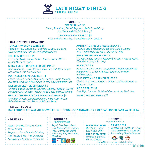

#### - GREENS -

GREEK SALAD \$3

*Olives, Tomatoes, Feta & Peppers, Garlic Bread Crisp Add Lemon Grilled Chicken \$2*

add Lemon Griffed Chicken, 52<br>CHICKEN CAESAR SALAD \$5 *House-Made Dressing, Shaved Parmesan Cheese* 6:00 AM - 10:00 PM

#### - SATISFY YOUR CRAVING -

#### TOTALLY AWESOME WINGS \$5

*Tossed in Your Choice of: Honey BBQ, Buffalo Sauce, Garlic Parmesan, Teriyaki, or Caribbean Jerk* 

#### CHICKEN TENDERS \$5

*Crispy Panko Breaded Chicken Tenders with BBQ or Honey Mustard Sauce* 

SPICY FRIED FIRECRACKER SHRIMP \$6 *Spiced Shrimp, Panko Coated and Fried with Chili Ginger Dip, Served with French Fries* 

#### PORTABELLA & VEGGIE BUN \$4

*Panko Crusted Portabella & Sweet Pepper, Roma Tomato, Avocado, Arugula, & Provolone Cheese on a Multigrain Bun*

#### KILLER CHICKEN QUESADILLA \$5

*Grilled Chipotle Seasoned Chicken, Onions, Peppers, Grated Monterey Jack Cheese, Fresh Pico de Gallo, and Guacamole*

## GRILLED CHEESE, BACON & TOMATO SANDWICH \$5

*Cheddar Cheese, Crumbled Bacon, and Diced Tomato Grilled Between Two Slices of Brioche Bread*

#### - SWEET TOOTH -

DARK CHOCOLATE WALNUT BROWNIES \$2 | DOUGHNUT SANDWICH \$3 | OLD FASHIONED BANANA SPLIT \$4

*Juices: Orange, Tomato, Apple, or Grapefruit Regular or Decaffeinated Coffee, Hot Tea, Iced Tea, Hot Chocolate, Chocolate Milk, Milk or Skim Milk*

#### - DRINKS -  $\cdot$  - BUBBLES -*Regular Bar Prices*

*Pepsi, Diet Pepsi, Pepsi Zero Sugar, Pepsi Caffeine Free, Sierra Mist, Sierra Mist Zero, Mug Root Beer, Mtn Dew* 



#### AUTHENTIC PHILLY CHEESESTEAK \$5

*Frizzled Steak, Melted Cheese and Grilled Onions on a Hoagie Roll, Served with French Fries* 

#### ROASTED TURKEY WRAP \$5

*Shaved Turkey, Tomato, Iceberg Lettuce, Avocado Mayo, Cheddar in Jalapeño Wrap*

#### PAN PIZZA \$5

*Hand-Stretched Dough, Topped with Fresh Ingredients and Baked to Order. Cheese, Pepperoni, or Ham and Pineapple* 

#### OMELETTE AND FRENCH FRIES \$5

*Choice of: Cheese, Peppers, Onions and Mushrooms or Ham and Cheese* 

SIDE OF FRIES \$2 *Just Right for You… Tell the Others to Order Their Own* 

SWEET POTATO FRIES \$250

*Bud Light, Miller Lite, Coors Light* IMPORTED BEER *Heineken, Corona, Pilsner Urquell*

#### - BEERS - *Regular Bar Prices*

DOMESTIC BEER CRAFT BEER

> *ThirstyFrog Caribbean Wheat Parched Pig West Coast IPA Parched Pig Toasted Amber*

TDA



Must be 21 or older to order alcoholic beverages